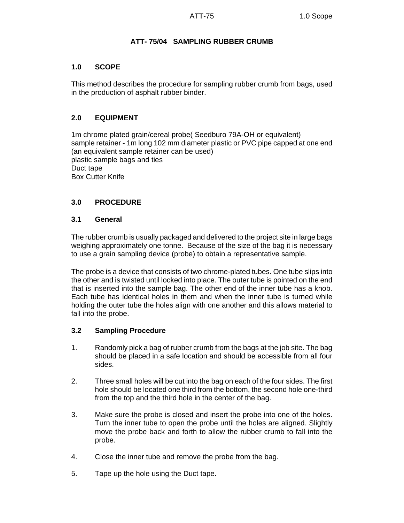# **ATT- 75/04 SAMPLING RUBBER CRUMB**

### **1.0 SCOPE**

This method describes the procedure for sampling rubber crumb from bags, used in the production of asphalt rubber binder.

# **2.0 EQUIPMENT**

1m chrome plated grain/cereal probe( Seedburo 79A-OH or equivalent) sample retainer - 1m long 102 mm diameter plastic or PVC pipe capped at one end (an equivalent sample retainer can be used) plastic sample bags and ties Duct tape Box Cutter Knife

# **3.0 PROCEDURE**

### **3.1 General**

The rubber crumb is usually packaged and delivered to the project site in large bags weighing approximately one tonne. Because of the size of the bag it is necessary to use a grain sampling device (probe) to obtain a representative sample.

The probe is a device that consists of two chrome-plated tubes. One tube slips into the other and is twisted until locked into place. The outer tube is pointed on the end that is inserted into the sample bag. The other end of the inner tube has a knob. Each tube has identical holes in them and when the inner tube is turned while holding the outer tube the holes align with one another and this allows material to fall into the probe.

#### **3.2 Sampling Procedure**

- 1. Randomly pick a bag of rubber crumb from the bags at the job site. The bag should be placed in a safe location and should be accessible from all four sides.
- 2. Three small holes will be cut into the bag on each of the four sides. The first hole should be located one third from the bottom, the second hole one-third from the top and the third hole in the center of the bag.
- 3. Make sure the probe is closed and insert the probe into one of the holes. Turn the inner tube to open the probe until the holes are aligned. Slightly move the probe back and forth to allow the rubber crumb to fall into the probe.
- 4. Close the inner tube and remove the probe from the bag.
- 5. Tape up the hole using the Duct tape.